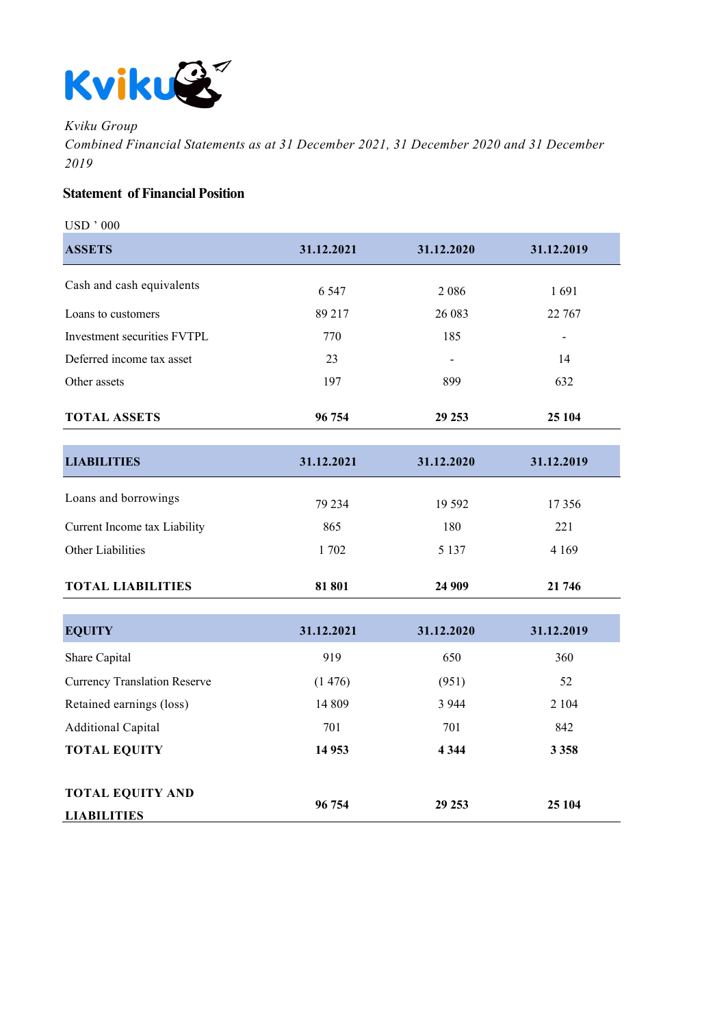

*Kviku Group*

*Combined Financial Statements as at 31 December 2021, 31 December 2020 and 31 December 2019*

## **Statement of Financial Position**

**TOTAL EQUITY AND** 

**LIABILITIES**

| <b>USD</b> ' 000                    |            |            |            |
|-------------------------------------|------------|------------|------------|
| <b>ASSETS</b>                       | 31.12.2021 | 31.12.2020 | 31.12.2019 |
| Cash and cash equivalents           | 6 5 4 7    | 2086       | 1691       |
|                                     |            |            |            |
| Loans to customers                  | 89 217     | 26 083     | 22 767     |
| Investment securities FVTPL         | 770        | 185        |            |
| Deferred income tax asset           | 23         |            | 14         |
| Other assets                        | 197        | 899        | 632        |
| <b>TOTAL ASSETS</b>                 | 96 754     | 29 25 3    | 25 104     |
|                                     |            |            |            |
| <b>LIABILITIES</b>                  | 31.12.2021 | 31.12.2020 | 31.12.2019 |
| Loans and borrowings                | 79 234     | 19 5 92    | 17356      |
| Current Income tax Liability        | 865        | 180        | 221        |
| Other Liabilities                   | 1702       | 5 1 3 7    | 4 1 6 9    |
| <b>TOTAL LIABILITIES</b>            | 81 801     | 24 909     | 21 746     |
|                                     |            |            |            |
| <b>EQUITY</b>                       | 31.12.2021 | 31.12.2020 | 31.12.2019 |
| Share Capital                       | 919        | 650        | 360        |
| <b>Currency Translation Reserve</b> | (1476)     | (951)      | 52         |
| Retained earnings (loss)            | 14 809     | 3 9 4 4    | 2 1 0 4    |
| <b>Additional Capital</b>           | 701        | 701        | 842        |
| <b>TOTAL EQUITY</b>                 | 14 9 53    | 4 3 4 4    | 3 3 5 8    |

**96 754 29 253 25 104**